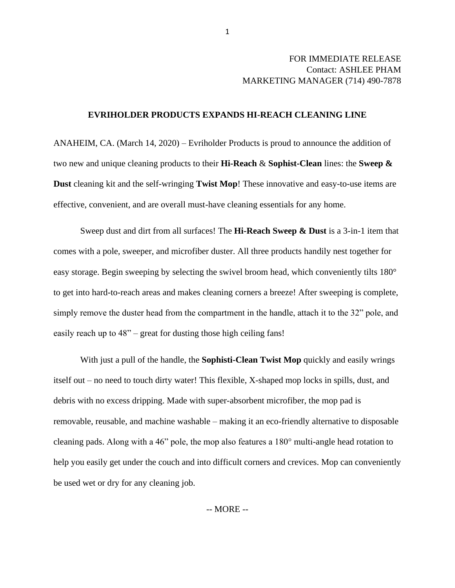## FOR IMMEDIATE RELEASE Contact: ASHLEE PHAM MARKETING MANAGER (714) 490-7878

## **EVRIHOLDER PRODUCTS EXPANDS HI-REACH CLEANING LINE**

ANAHEIM, CA. (March 14, 2020) – Evriholder Products is proud to announce the addition of two new and unique cleaning products to their **Hi-Reach** & **Sophist-Clean** lines: the **Sweep & Dust** cleaning kit and the self-wringing **Twist Mop**! These innovative and easy-to-use items are effective, convenient, and are overall must-have cleaning essentials for any home.

Sweep dust and dirt from all surfaces! The **Hi-Reach Sweep & Dust** is a 3-in-1 item that comes with a pole, sweeper, and microfiber duster. All three products handily nest together for easy storage. Begin sweeping by selecting the swivel broom head, which conveniently tilts 180° to get into hard-to-reach areas and makes cleaning corners a breeze! After sweeping is complete, simply remove the duster head from the compartment in the handle, attach it to the 32" pole, and easily reach up to 48" – great for dusting those high ceiling fans!

With just a pull of the handle, the **Sophisti-Clean Twist Mop** quickly and easily wrings itself out – no need to touch dirty water! This flexible, X-shaped mop locks in spills, dust, and debris with no excess dripping. Made with super-absorbent microfiber, the mop pad is removable, reusable, and machine washable – making it an eco-friendly alternative to disposable cleaning pads. Along with a 46" pole, the mop also features a 180° multi-angle head rotation to help you easily get under the couch and into difficult corners and crevices. Mop can conveniently be used wet or dry for any cleaning job.

-- MORE --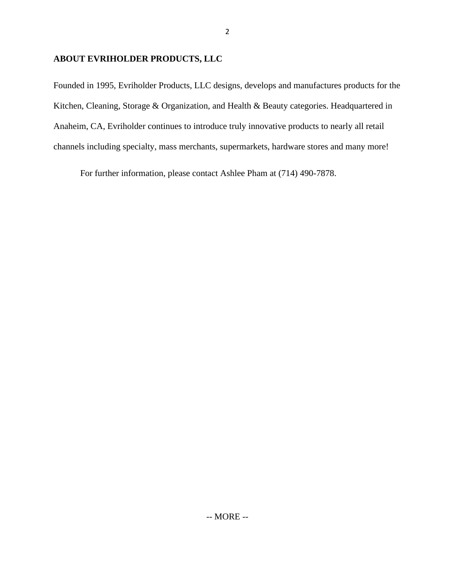## **ABOUT EVRIHOLDER PRODUCTS, LLC**

Founded in 1995, Evriholder Products, LLC designs, develops and manufactures products for the Kitchen, Cleaning, Storage & Organization, and Health & Beauty categories. Headquartered in Anaheim, CA, Evriholder continues to introduce truly innovative products to nearly all retail channels including specialty, mass merchants, supermarkets, hardware stores and many more!

For further information, please contact Ashlee Pham at (714) 490-7878.